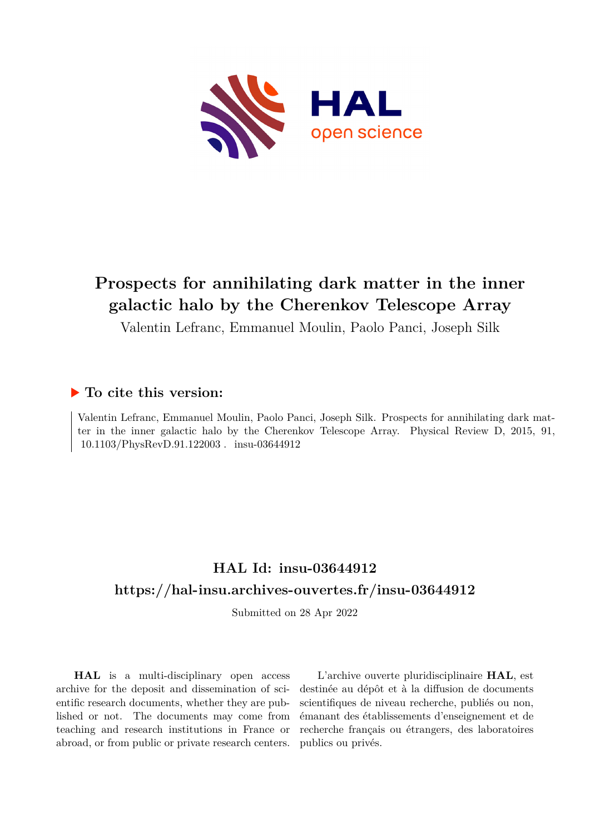

# **Prospects for annihilating dark matter in the inner galactic halo by the Cherenkov Telescope Array**

Valentin Lefranc, Emmanuel Moulin, Paolo Panci, Joseph Silk

### **To cite this version:**

Valentin Lefranc, Emmanuel Moulin, Paolo Panci, Joseph Silk. Prospects for annihilating dark matter in the inner galactic halo by the Cherenkov Telescope Array. Physical Review D, 2015, 91, 10.1103/PhysRevD.91.122003. insu-03644912

## **HAL Id: insu-03644912 <https://hal-insu.archives-ouvertes.fr/insu-03644912>**

Submitted on 28 Apr 2022

**HAL** is a multi-disciplinary open access archive for the deposit and dissemination of scientific research documents, whether they are published or not. The documents may come from teaching and research institutions in France or abroad, or from public or private research centers.

L'archive ouverte pluridisciplinaire **HAL**, est destinée au dépôt et à la diffusion de documents scientifiques de niveau recherche, publiés ou non, émanant des établissements d'enseignement et de recherche français ou étrangers, des laboratoires publics ou privés.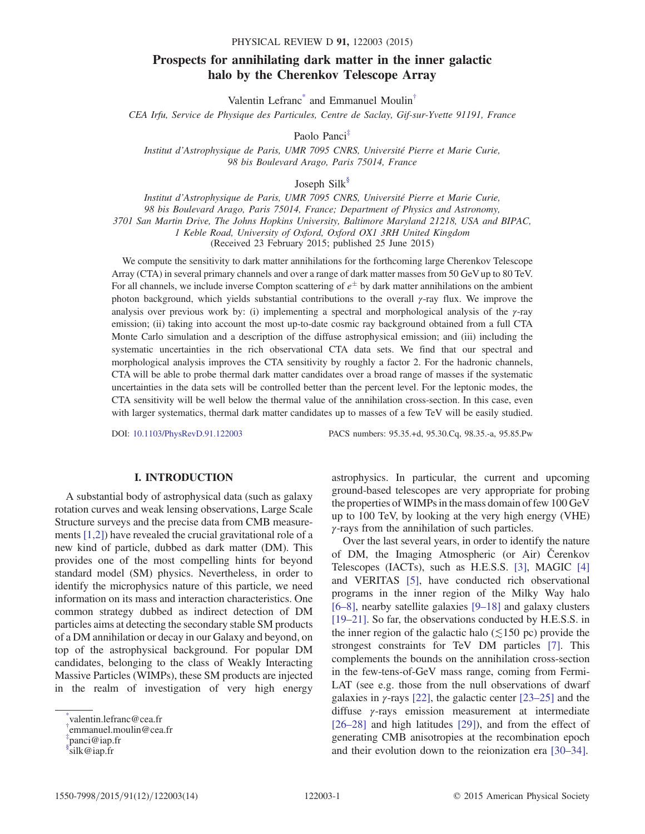### Prospects for annihilating dark matter in the inner galactic halo by the Cherenkov Telescope Array

Valentin Lefranc<sup>\*</sup> and Emmanuel Moulin<sup>†</sup>

CEA Irfu, Service de Physique des Particules, Centre de Saclay, Gif-sur-Yvette 91191, France

Paolo Panci‡

Institut d'Astrophysique de Paris, UMR 7095 CNRS, Université Pierre et Marie Curie, 98 bis Boulevard Arago, Paris 75014, France

Joseph Silk§

Institut d'Astrophysique de Paris, UMR 7095 CNRS, Université Pierre et Marie Curie, 98 bis Boulevard Arago, Paris 75014, France; Department of Physics and Astronomy, 3701 San Martin Drive, The Johns Hopkins University, Baltimore Maryland 21218, USA and BIPAC, 1 Keble Road, University of Oxford, Oxford OX1 3RH United Kingdom (Received 23 February 2015; published 25 June 2015)

We compute the sensitivity to dark matter annihilations for the forthcoming large Cherenkov Telescope Array (CTA) in several primary channels and over a range of dark matter masses from 50 GeV up to 80 TeV. For all channels, we include inverse Compton scattering of  $e^{\pm}$  by dark matter annihilations on the ambient photon background, which yields substantial contributions to the overall  $\gamma$ -ray flux. We improve the analysis over previous work by: (i) implementing a spectral and morphological analysis of the γ-ray emission; (ii) taking into account the most up-to-date cosmic ray background obtained from a full CTA Monte Carlo simulation and a description of the diffuse astrophysical emission; and (iii) including the systematic uncertainties in the rich observational CTA data sets. We find that our spectral and morphological analysis improves the CTA sensitivity by roughly a factor 2. For the hadronic channels, CTA will be able to probe thermal dark matter candidates over a broad range of masses if the systematic uncertainties in the data sets will be controlled better than the percent level. For the leptonic modes, the CTA sensitivity will be well below the thermal value of the annihilation cross-section. In this case, even with larger systematics, thermal dark matter candidates up to masses of a few TeV will be easily studied.

DOI: [10.1103/PhysRevD.91.122003](http://dx.doi.org/10.1103/PhysRevD.91.122003) PACS numbers: 95.35.+d, 95.30.Cq, 98.35.-a, 95.85.Pw

#### I. INTRODUCTION

A substantial body of astrophysical data (such as galaxy rotation curves and weak lensing observations, Large Scale Structure surveys and the precise data from CMB measurements [1,2]) have revealed the crucial gravitational role of a new kind of particle, dubbed as dark matter (DM). This provides one of the most compelling hints for beyond standard model (SM) physics. Nevertheless, in order to identify the microphysics nature of this particle, we need information on its mass and interaction characteristics. One common strategy dubbed as indirect detection of DM particles aims at detecting the secondary stable SM products of a DM annihilation or decay in our Galaxy and beyond, on top of the astrophysical background. For popular DM candidates, belonging to the class of Weakly Interacting Massive Particles (WIMPs), these SM products are injected in the realm of investigation of very high energy

astrophysics. In particular, the current and upcoming ground-based telescopes are very appropriate for probing the properties of WIMPs in the mass domain of few 100 GeV up to 100 TeV, by looking at the very high energy (VHE) γ-rays from the annihilation of such particles.

Over the last several years, in order to identify the nature of DM, the Imaging Atmospheric (or Air) Čerenkov Telescopes (IACTs), such as H.E.S.S. [3], MAGIC [4] and VERITAS [5], have conducted rich observational programs in the inner region of the Milky Way halo [6–8], nearby satellite galaxies [9–18] and galaxy clusters [19–21]. So far, the observations conducted by H.E.S.S. in the inner region of the galactic halo ( $\leq 150$  pc) provide the strongest constraints for TeV DM particles [7]. This complements the bounds on the annihilation cross-section in the few-tens-of-GeV mass range, coming from Fermi-LAT (see e.g. those from the null observations of dwarf galaxies in  $\gamma$ -rays [22], the galactic center [23–25] and the diffuse γ-rays emission measurement at intermediate [26–28] and high latitudes [29]), and from the effect of generating CMB anisotropies at the recombination epoch and their evolution down to the reionization era [30–34].

<sup>\*</sup> valentin.lefranc@cea.fr

<sup>†</sup> emmanuel.moulin@cea.fr

<sup>‡</sup> panci@iap.fr

<sup>§</sup> silk@iap.fr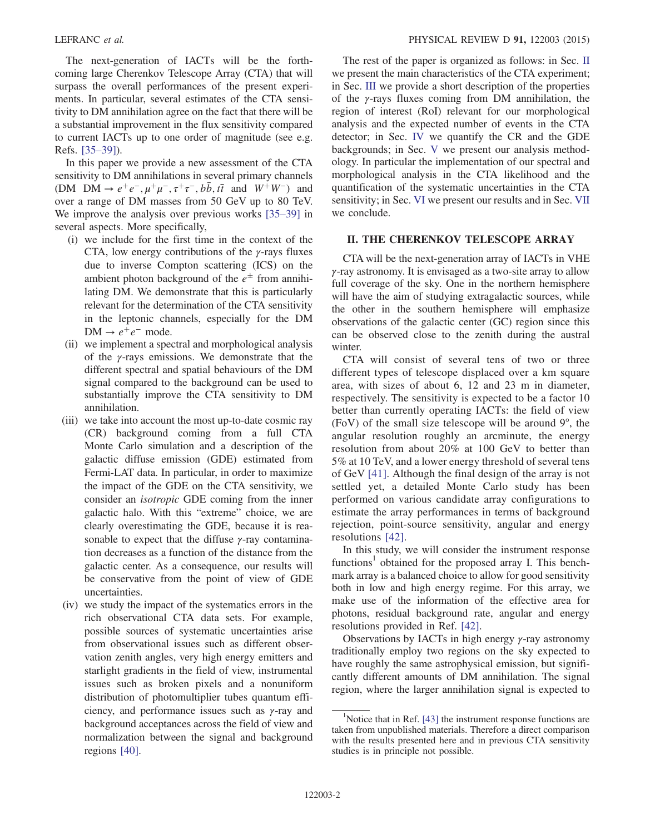The next-generation of IACTs will be the forthcoming large Cherenkov Telescope Array (CTA) that will surpass the overall performances of the present experiments. In particular, several estimates of the CTA sensitivity to DM annihilation agree on the fact that there will be a substantial improvement in the flux sensitivity compared to current IACTs up to one order of magnitude (see e.g. Refs. [35–39]).

In this paper we provide a new assessment of the CTA sensitivity to DM annihilations in several primary channels (DM DM  $\rightarrow e^+e^-, \mu^+\mu^-, \tau^+\tau^-, b\bar{b}, t\bar{t}$  and  $W^+W^-$ ) and over a range of DM masses from 50 GeV up to 80 TeV. We improve the analysis over previous works [35–39] in several aspects. More specifically,

- (i) we include for the first time in the context of the CTA, low energy contributions of the  $\gamma$ -rays fluxes due to inverse Compton scattering (ICS) on the ambient photon background of the  $e^{\pm}$  from annihilating DM. We demonstrate that this is particularly relevant for the determination of the CTA sensitivity in the leptonic channels, especially for the DM  $DM \rightarrow e^+e^-$  mode.
- (ii) we implement a spectral and morphological analysis of the  $\gamma$ -rays emissions. We demonstrate that the different spectral and spatial behaviours of the DM signal compared to the background can be used to substantially improve the CTA sensitivity to DM annihilation.
- (iii) we take into account the most up-to-date cosmic ray (CR) background coming from a full CTA Monte Carlo simulation and a description of the galactic diffuse emission (GDE) estimated from Fermi-LAT data. In particular, in order to maximize the impact of the GDE on the CTA sensitivity, we consider an isotropic GDE coming from the inner galactic halo. With this "extreme" choice, we are clearly overestimating the GDE, because it is reasonable to expect that the diffuse  $\gamma$ -ray contamination decreases as a function of the distance from the galactic center. As a consequence, our results will be conservative from the point of view of GDE uncertainties.
- (iv) we study the impact of the systematics errors in the rich observational CTA data sets. For example, possible sources of systematic uncertainties arise from observational issues such as different observation zenith angles, very high energy emitters and starlight gradients in the field of view, instrumental issues such as broken pixels and a nonuniform distribution of photomultiplier tubes quantum efficiency, and performance issues such as  $\gamma$ -ray and background acceptances across the field of view and normalization between the signal and background regions [40].

The rest of the paper is organized as follows: in Sec. II we present the main characteristics of the CTA experiment; in Sec. III we provide a short description of the properties of the γ-rays fluxes coming from DM annihilation, the region of interest (RoI) relevant for our morphological analysis and the expected number of events in the CTA detector; in Sec. IV we quantify the CR and the GDE backgrounds; in Sec. V we present our analysis methodology. In particular the implementation of our spectral and morphological analysis in the CTA likelihood and the quantification of the systematic uncertainties in the CTA sensitivity; in Sec. VI we present our results and in Sec. VII we conclude.

#### II. THE CHERENKOV TELESCOPE ARRAY

CTA will be the next-generation array of IACTs in VHE  $\gamma$ -ray astronomy. It is envisaged as a two-site array to allow full coverage of the sky. One in the northern hemisphere will have the aim of studying extragalactic sources, while the other in the southern hemisphere will emphasize observations of the galactic center (GC) region since this can be observed close to the zenith during the austral winter.

CTA will consist of several tens of two or three different types of telescope displaced over a km square area, with sizes of about 6, 12 and 23 m in diameter, respectively. The sensitivity is expected to be a factor 10 better than currently operating IACTs: the field of view (FoV) of the small size telescope will be around 9°, the angular resolution roughly an arcminute, the energy resolution from about 20% at 100 GeV to better than 5% at 10 TeV, and a lower energy threshold of several tens of GeV [41]. Although the final design of the array is not settled yet, a detailed Monte Carlo study has been performed on various candidate array configurations to estimate the array performances in terms of background rejection, point-source sensitivity, angular and energy resolutions [42].

In this study, we will consider the instrument response functions<sup>1</sup> obtained for the proposed array I. This benchmark array is a balanced choice to allow for good sensitivity both in low and high energy regime. For this array, we make use of the information of the effective area for photons, residual background rate, angular and energy resolutions provided in Ref. [42].

Observations by IACTs in high energy  $\gamma$ -ray astronomy traditionally employ two regions on the sky expected to have roughly the same astrophysical emission, but significantly different amounts of DM annihilation. The signal region, where the larger annihilation signal is expected to

<sup>&</sup>lt;sup>1</sup>Notice that in Ref. [43] the instrument response functions are taken from unpublished materials. Therefore a direct comparison with the results presented here and in previous CTA sensitivity studies is in principle not possible.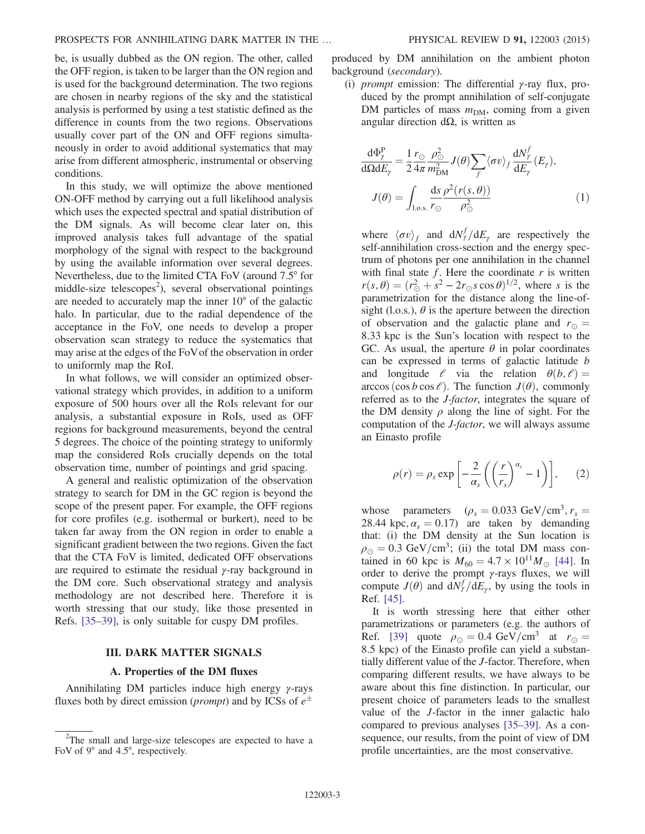be, is usually dubbed as the ON region. The other, called the OFF region, is taken to be larger than the ON region and is used for the background determination. The two regions are chosen in nearby regions of the sky and the statistical analysis is performed by using a test statistic defined as the difference in counts from the two regions. Observations usually cover part of the ON and OFF regions simultaneously in order to avoid additional systematics that may arise from different atmospheric, instrumental or observing conditions.

In this study, we will optimize the above mentioned ON-OFF method by carrying out a full likelihood analysis which uses the expected spectral and spatial distribution of the DM signals. As will become clear later on, this improved analysis takes full advantage of the spatial morphology of the signal with respect to the background by using the available information over several degrees. Nevertheless, due to the limited CTA FoV (around 7.5° for middle-size telescopes<sup>2</sup>), several observational pointings are needed to accurately map the inner 10° of the galactic halo. In particular, due to the radial dependence of the acceptance in the FoV, one needs to develop a proper observation scan strategy to reduce the systematics that may arise at the edges of the FoVof the observation in order to uniformly map the RoI.

In what follows, we will consider an optimized observational strategy which provides, in addition to a uniform exposure of 500 hours over all the RoIs relevant for our analysis, a substantial exposure in RoIs, used as OFF regions for background measurements, beyond the central 5 degrees. The choice of the pointing strategy to uniformly map the considered RoIs crucially depends on the total observation time, number of pointings and grid spacing.

A general and realistic optimization of the observation strategy to search for DM in the GC region is beyond the scope of the present paper. For example, the OFF regions for core profiles (e.g. isothermal or burkert), need to be taken far away from the ON region in order to enable a significant gradient between the two regions. Given the fact that the CTA FoV is limited, dedicated OFF observations are required to estimate the residual  $\gamma$ -ray background in the DM core. Such observational strategy and analysis methodology are not described here. Therefore it is worth stressing that our study, like those presented in Refs. [35–39], is only suitable for cuspy DM profiles.

#### III. DARK MATTER SIGNALS

#### A. Properties of the DM fluxes

Annihilating DM particles induce high energy  $\gamma$ -rays fluxes both by direct emission (*prompt*) and by ICSs of  $e^{\pm}$  produced by DM annihilation on the ambient photon background (secondary).

(i) *prompt* emission: The differential  $\gamma$ -ray flux, produced by the prompt annihilation of self-conjugate DM particles of mass  $m<sub>DM</sub>$ , coming from a given angular direction dΩ, is written as

$$
\frac{d\Phi_{\gamma}^{P}}{d\Omega dE_{\gamma}} = \frac{1}{2} \frac{r_{\odot}}{4\pi} \frac{\rho_{\odot}^{2}}{m_{\rm DM}^{2}} J(\theta) \sum_{f} \langle \sigma v \rangle_{f} \frac{dN_{\gamma}^{f}}{dE_{\gamma}} (E_{\gamma}),
$$

$$
J(\theta) = \int_{\text{l.o.s.}} \frac{ds}{r_{\odot}} \frac{\rho^{2}(r(s,\theta))}{\rho_{\odot}^{2}} \tag{1}
$$

where  $\langle \sigma v \rangle_f$  and  $dN_f^f/dE_\gamma$  are respectively the self-annihilation cross-section and the energy spectrum of photons per one annihilation in the channel with final state  $f$ . Here the coordinate  $r$  is written  $r(s, \theta) = (r_{\odot}^2 + s^2 - 2r_{\odot}s \cos \theta)^{1/2}$ , where s is the parametrization for the distance along the line-ofsight (l.o.s.),  $\theta$  is the aperture between the direction of observation and the galactic plane and  $r_{\odot} =$ 8.33 kpc is the Sun's location with respect to the GC. As usual, the aperture  $\theta$  in polar coordinates can be expressed in terms of galactic latitude b and longitude  $\ell$  via the relation  $\theta(b,\ell) =$ arccos (cos b cos  $\ell$ ). The function  $J(\theta)$ , commonly referred as to the J-factor, integrates the square of the DM density  $\rho$  along the line of sight. For the computation of the J-factor, we will always assume an Einasto profile

$$
\rho(r) = \rho_s \exp\left[-\frac{2}{\alpha_s} \left( \left(\frac{r}{r_s}\right)^{\alpha_s} - 1 \right) \right], \qquad (2)
$$

whose parameters ( $\rho_s = 0.033 \text{ GeV/cm}^3$ ,  $r_s =$ 28.44 kpc,  $\alpha_s = 0.17$ ) are taken by demanding that: (i) the DM density at the Sun location is  $\rho_{\odot} = 0.3$  GeV/cm<sup>3</sup>; (ii) the total DM mass contained in 60 kpc is  $M_{60} = 4.7 \times 10^{11} M_{\odot}$  [44]. In order to derive the prompt  $\gamma$ -rays fluxes, we will compute  $J(\theta)$  and  $dN_{\gamma}^{f}/dE_{\gamma}$ , by using the tools in Ref. [45].

It is worth stressing here that either other parametrizations or parameters (e.g. the authors of Ref. [39] quote  $\rho_{\odot} = 0.4 \text{ GeV/cm}^3$  at  $r_{\odot} =$ 8.5 kpc) of the Einasto profile can yield a substantially different value of the J-factor. Therefore, when comparing different results, we have always to be aware about this fine distinction. In particular, our present choice of parameters leads to the smallest value of the J-factor in the inner galactic halo compared to previous analyses [35–39]. As a consequence, our results, from the point of view of DM profile uncertainties, are the most conservative.

<sup>&</sup>lt;sup>2</sup>The small and large-size telescopes are expected to have a FoV of 9° and 4.5°, respectively.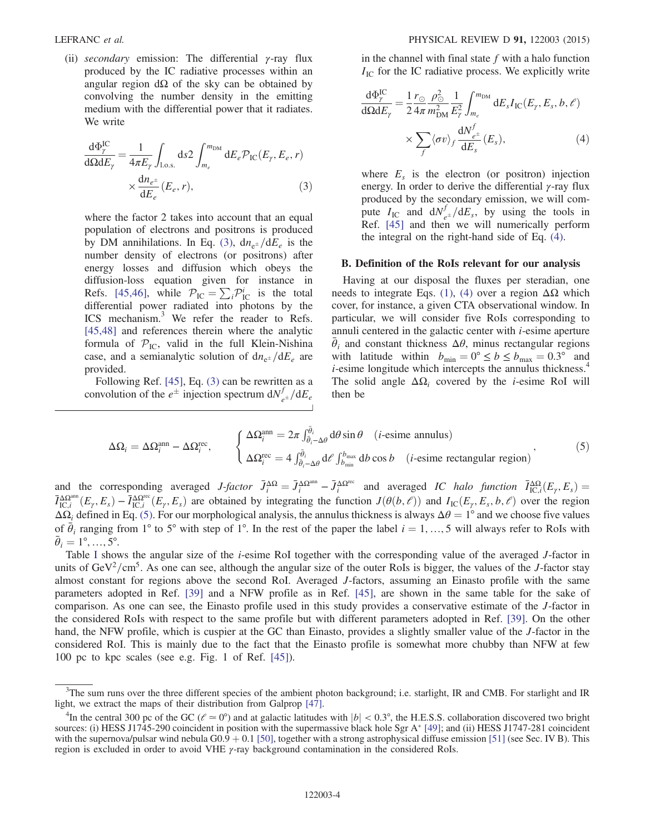(ii) secondary emission: The differential  $\gamma$ -ray flux produced by the IC radiative processes within an angular region  $dΩ$  of the sky can be obtained by convolving the number density in the emitting medium with the differential power that it radiates. We write

$$
\frac{d\Phi_{\gamma}^{IC}}{d\Omega dE_{\gamma}} = \frac{1}{4\pi E_{\gamma}} \int_{1.0 \text{ s}} ds 2 \int_{m_e}^{m_{DM}} dE_e \mathcal{P}_{IC}(E_{\gamma}, E_e, r) \times \frac{dn_{e^{\pm}}}{dE_e}(E_e, r),
$$
\n(3)

where the factor 2 takes into account that an equal population of electrons and positrons is produced by DM annihilations. In Eq. (3),  $dn_{e^{\pm}}/dE_e$  is the number density of electrons (or positrons) after energy losses and diffusion which obeys the diffusion-loss equation given for instance in Refs. [45,46], while  $\mathcal{P}_{IC} = \sum_i \mathcal{P}_{IC}^i$  is the total differential power radiated into photons by the ICS mechanism.<sup>3</sup> We refer the reader to Refs. [45,48] and references therein where the analytic formula of  $P_{\text{IC}}$ , valid in the full Klein-Nishina case, and a semianalytic solution of  $dn_{e^{\pm}}/dE_e$  are provided.

Following Ref. [45], Eq. (3) can be rewritten as a convolution of the  $e^{\pm}$  injection spectrum  $dN_{e^{\pm}}^f/dE_e$ 

in the channel with final state  $f$  with a halo function  $I_{\text{IC}}$  for the IC radiative process. We explicitly write

$$
\frac{d\Phi_{\gamma}^{IC}}{d\Omega dE_{\gamma}} = \frac{1}{2} \frac{r_{\odot}}{4\pi} \frac{\rho_{\odot}^2}{m_{\rm DM}^2} \frac{1}{E_{\gamma}^2} \int_{m_e}^{m_{\rm DM}} dE_s I_{\rm IC}(E_{\gamma}, E_s, b, \ell) \times \sum_{f} \langle \sigma v \rangle_f \frac{dN_{e^{\pm}}^f}{dE_s}(E_s), \tag{4}
$$

where  $E_s$  is the electron (or positron) injection energy. In order to derive the differential  $\gamma$ -ray flux produced by the secondary emission, we will compute  $I_{\text{IC}}$  and  $\frac{dN_{e^{\pm}}^f}{dE_s}$ , by using the tools in Ref. [45] and then we will numerically perform the integral on the right-hand side of Eq. (4).

#### B. Definition of the RoIs relevant for our analysis

Having at our disposal the fluxes per steradian, one needs to integrate Eqs. (1), (4) over a region  $ΔΩ$  which cover, for instance, a given CTA observational window. In particular, we will consider five RoIs corresponding to annuli centered in the galactic center with  $i$ -esime aperture  $\bar{\theta}_i$  and constant thickness  $\Delta\theta$ , minus rectangular regions with latitude within  $b_{\min} = 0^{\circ} \le b \le b_{\max} = 0.3^{\circ}$  and *i*-esime longitude which intercepts the annulus thickness.<sup>4</sup> The solid angle  $\Delta\Omega_i$  covered by the *i*-esime RoI will then be

$$
\Delta\Omega_i = \Delta\Omega_i^{\text{ann}} - \Delta\Omega_i^{\text{rec}}, \qquad \begin{cases} \Delta\Omega_i^{\text{ann}} = 2\pi \int_{\bar{\theta}_i - \Delta\theta}^{\bar{\theta}_i} d\theta \sin \theta & (i\text{-esime annulus})\\ \Delta\Omega_i^{\text{rec}} = 4 \int_{\bar{\theta}_i - \Delta\theta}^{\bar{\theta}_i} d\theta \int_{b_{\text{min}}}^{b_{\text{max}}} d\theta \cos b & (i\text{-esime rectangular region}) \end{cases}
$$
\n(5)

and the corresponding averaged  $J$ -factor  $\bar{J}_i^{\Delta\Omega} = \bar{J}_i^{\Delta\Omega^{\text{ann}}} - \bar{J}_i^{\Delta\Omega^{\text{rec}}}$  and averaged IC halo function  $\bar{I}_{\text{IC},i}^{\Delta\Omega}(E_\gamma, E_s) =$  $\overline{I}_{\text{IC},i}^{\Delta\Omega^{\text{ann}}}(E_\gamma, E_s) - \overline{I}_{\text{IC},i}^{\Delta\Omega^{\text{reco}}}(E_\gamma, E_s)$  are obtained by integrating the function  $J(\theta(b,\ell))$  and  $I_{\text{IC}}(E_\gamma, E_s, b,\ell)$  over the region  $\Delta\Omega_i$  defined in Eq. (5). For our morphological analysis, the annulus thickness is always  $\Delta\theta = 1^\circ$  and we choose five values of  $\bar{\theta}_i$  ranging from 1° to 5° with step of 1°. In the rest of the paper the label  $i = 1, ..., 5$  will always refer to RoIs with  $\bar{\theta}_i = 1^\circ, ..., 5^\circ$ .  $\bar{\theta}_i = 1^{\circ}, ..., 5^{\circ}.$ 

Table I shows the angular size of the *i*-esime RoI together with the corresponding value of the averaged *J*-factor in units of  $GeV^2/cm^5$ . As one can see, although the angular size of the outer RoIs is bigger, the values of the J-factor stay almost constant for regions above the second RoI. Averaged J-factors, assuming an Einasto profile with the same parameters adopted in Ref. [39] and a NFW profile as in Ref. [45], are shown in the same table for the sake of comparison. As one can see, the Einasto profile used in this study provides a conservative estimate of the J-factor in the considered RoIs with respect to the same profile but with different parameters adopted in Ref. [39]. On the other hand, the NFW profile, which is cuspier at the GC than Einasto, provides a slightly smaller value of the J-factor in the considered RoI. This is mainly due to the fact that the Einasto profile is somewhat more chubby than NFW at few 100 pc to kpc scales (see e.g. Fig. 1 of Ref. [45]).

<sup>&</sup>lt;sup>3</sup>The sum runs over the three different species of the ambient photon background; i.e. starlight, IR and CMB. For starlight and IR light, we extract the maps of their distribution from Galprop [47].

<sup>&</sup>lt;sup>4</sup>In the central 300 pc of the GC ( $\ell \approx 0^{\circ}$ ) and at galactic latitudes with  $|b| < 0.3^{\circ}$ , the H.E.S.S. collaboration discovered two bright sources: (i) HESS J1745-290 coincident in position with the supermassive black hole Sgr A\* [49]; and (ii) HESS J1747-281 coincident with the supernova/pulsar wind nebula  $G(0.9 + 0.1 \, \text{[}50\text{],}$  together with a strong astrophysical diffuse emission  $\text{[}51\text{]}$  (see Sec. IV B). This region is excluded in order to avoid VHE  $\gamma$ -ray background contamination in the considered RoIs.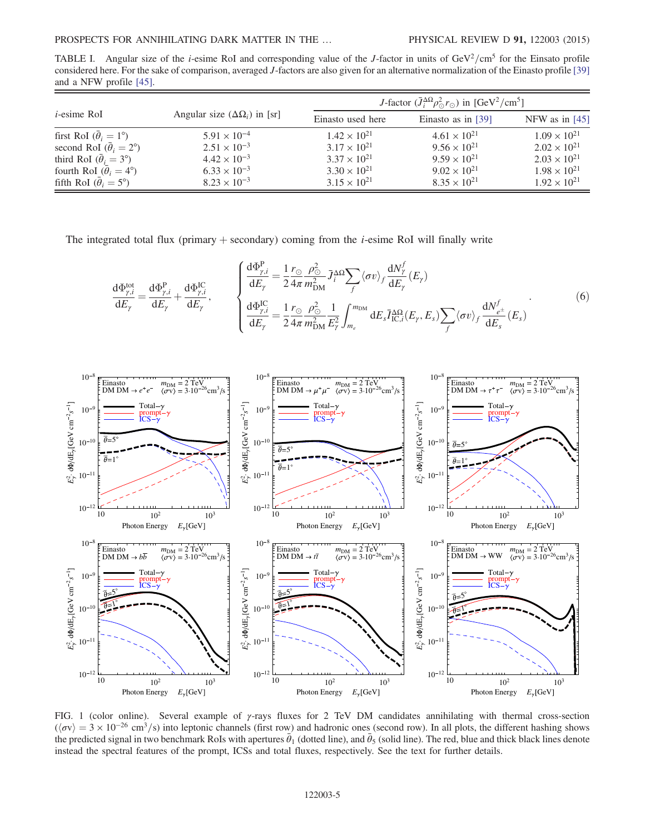TABLE I. Angular size of the *i*-esime RoI and corresponding value of the *J*-factor in units of  $\text{GeV}^2/\text{cm}^5$  for the Einsato profile considered here. For the sake of comparison, averaged J-factors are also given for an alternative normalization of the Einasto profile [39] and a NFW profile [45].

| $i$ -esime RoI                           | Angular size $(\Delta \Omega_i)$ in [sr] | J-factor $(\bar{J}_i^{\Delta\Omega} \rho_{\odot}^2 r_{\odot})$ in [GeV <sup>2</sup> /cm <sup>5</sup> ] |                       |                       |
|------------------------------------------|------------------------------------------|--------------------------------------------------------------------------------------------------------|-----------------------|-----------------------|
|                                          |                                          | Einasto used here                                                                                      | Einasto as in $[39]$  | NFW as in $[45]$      |
| first RoI $(\bar{\theta}_i = 1^{\circ})$ | $5.91 \times 10^{-4}$                    | $1.42 \times 10^{21}$                                                                                  | $4.61 \times 10^{21}$ | $1.09 \times 10^{21}$ |
| second RoI $(\theta_i = 2^{\circ})$      | $2.51 \times 10^{-3}$                    | $3.17 \times 10^{21}$                                                                                  | $9.56 \times 10^{21}$ | $2.02 \times 10^{21}$ |
| third RoI $(\theta_i = 3^{\circ})$       | $4.42 \times 10^{-3}$                    | $3.37 \times 10^{21}$                                                                                  | $9.59 \times 10^{21}$ | $2.03 \times 10^{21}$ |
| fourth RoI $(\theta_i = 4^{\circ})$      | $6.33 \times 10^{-3}$                    | $3.30 \times 10^{21}$                                                                                  | $9.02 \times 10^{21}$ | $1.98 \times 10^{21}$ |
| fifth RoI $(\bar{\theta}_i = 5^{\circ})$ | $8.23 \times 10^{-3}$                    | $3.15 \times 10^{21}$                                                                                  | $8.35 \times 10^{21}$ | $1.92 \times 10^{21}$ |

The integrated total flux (primary  $+$  secondary) coming from the *i*-esime RoI will finally write

$$
\frac{d\Phi_{\gamma,i}^{\text{tot}}}{dE_{\gamma}} = \frac{d\Phi_{\gamma,i}^{\text{P}}}{dE_{\gamma}} + \frac{d\Phi_{\gamma,i}^{\text{IC}}}{dE_{\gamma}}, \qquad \begin{cases} \frac{d\Phi_{\gamma,i}^{\text{P}}}{dE_{\gamma}} = \frac{1}{2} \frac{r_{\odot}}{4\pi} \frac{\rho_{\odot}^{2}}{m_{\text{DM}}^{2}} \bar{J}_{i}^{\Delta\Omega} \sum_{f} \langle \sigma v \rangle_{f} \frac{dN_{\gamma}^{f}}{dE_{\gamma}}(E_{\gamma}) \\ \frac{d\Phi_{\gamma,i}^{\text{IC}}}{dE_{\gamma}} = \frac{1}{2} \frac{r_{\odot}}{4\pi} \frac{\rho_{\odot}^{2}}{m_{\text{DM}}^{2}} \frac{1}{E_{\gamma}^{2}} \int_{m_{e}}^{m_{\text{DM}}} dE_{s} \bar{I}_{\text{IC},i}^{\Delta\Omega}(E_{\gamma}, E_{s}) \sum_{f} \langle \sigma v \rangle_{f} \frac{dN_{e^{\pm}}^{f}}{dE_{s}}(E_{s}) \end{cases} \tag{6}
$$



FIG. 1 (color online). Several example of  $\gamma$ -rays fluxes for 2 TeV DM candidates annihilating with thermal cross-section  $(\langle \sigma v \rangle = 3 \times 10^{-26} \text{ cm}^3/\text{s})$  into leptonic channels (first row) and hadronic ones (second row). In all plots, the different hashing shows the predicted signal in two benchmark RoIs with apertures  $\vec{\theta}_1$  (dotted line), and  $\vec{\theta}_5$  (solid line). The red, blue and thick black lines denote instead the spectral features of the prompt, ICSs and total fluxes, respectively. See the text for further details.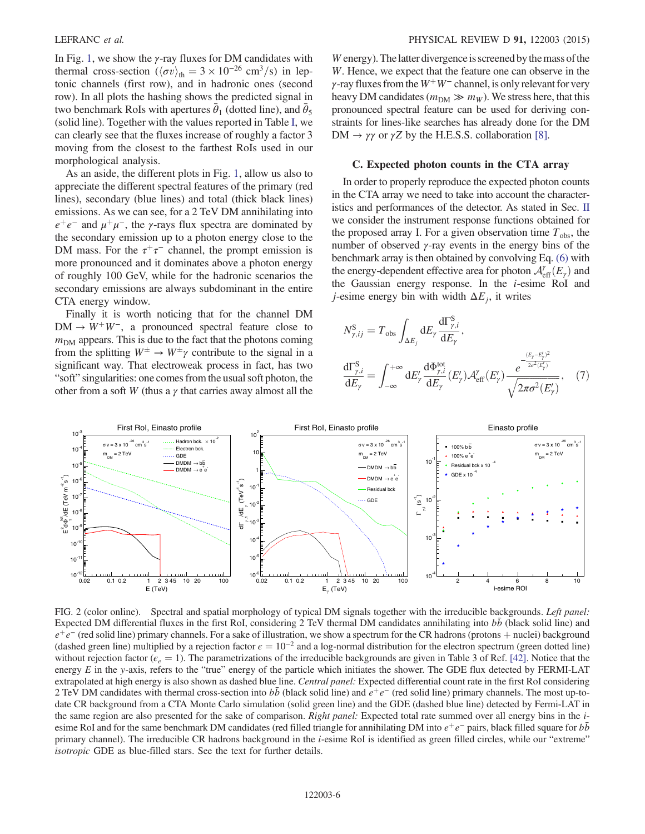In Fig. 1, we show the  $\gamma$ -ray fluxes for DM candidates with thermal cross-section ( $\langle \sigma v \rangle_{\text{th}} = 3 \times 10^{-26} \text{ cm}^3/\text{s}$ ) in leptonic channels (first row), and in hadronic ones (second row). In all plots the hashing shows the predicted signal in two benchmark RoIs with apertures  $\bar{\theta}_1$  (dotted line), and  $\bar{\theta}_5$ (solid line). Together with the values reported in Table I, we can clearly see that the fluxes increase of roughly a factor 3 moving from the closest to the farthest RoIs used in our morphological analysis.

As an aside, the different plots in Fig. 1, allow us also to appreciate the different spectral features of the primary (red lines), secondary (blue lines) and total (thick black lines) emissions. As we can see, for a 2 TeV DM annihilating into  $e^+e^-$  and  $\mu^+\mu^-$ , the *γ*-rays flux spectra are dominated by the secondary emission up to a photon energy close to the DM mass. For the  $\tau^+\tau^-$  channel, the prompt emission is more pronounced and it dominates above a photon energy of roughly 100 GeV, while for the hadronic scenarios the secondary emissions are always subdominant in the entire CTA energy window.

Finally it is worth noticing that for the channel DM  $DM \rightarrow W^{+}W^{-}$ , a pronounced spectral feature close to  $m<sub>DM</sub>$  appears. This is due to the fact that the photons coming from the splitting  $W^{\pm} \to W^{\pm} \gamma$  contribute to the signal in a significant way. That electroweak process in fact, has two "soft" singularities: one comes from the usual soft photon, the other from a soft W (thus a  $\gamma$  that carries away almost all the

W energy). The latter divergence is screened by the mass of the W. Hence, we expect that the feature one can observe in the γ-ray fluxes from the  $W^+W^-$  channel, is only relevant for very heavy DM candidates ( $m_{DM} \gg m_W$ ). We stress here, that this pronounced spectral feature can be used for deriving constraints for lines-like searches has already done for the DM DM  $\rightarrow \gamma \gamma$  or  $\gamma Z$  by the H.E.S.S. collaboration [8].

#### C. Expected photon counts in the CTA array

In order to properly reproduce the expected photon counts in the CTA array we need to take into account the characteristics and performances of the detector. As stated in Sec. II we consider the instrument response functions obtained for the proposed array I. For a given observation time  $T_{obs}$ , the number of observed  $\gamma$ -ray events in the energy bins of the benchmark array is then obtained by convolving Eq. (6) with the energy-dependent effective area for photon  $\mathcal{A}_{\text{eff}}^{\gamma}(E_{\gamma})$  and the Gaussian energy response. In the i-esime RoI and *j*-esime energy bin with width  $\Delta E_i$ , it writes

$$
N_{\gamma,ij}^{\rm S} = T_{\rm obs} \int_{\Delta E_j} dE_{\gamma} \frac{d\Gamma_{\gamma,i}^{\rm S}}{dE_{\gamma}},
$$
  

$$
\frac{d\Gamma_{\gamma,i}^{\rm S}}{dE_{\gamma}} = \int_{-\infty}^{+\infty} dE_{\gamma} \frac{d\Phi_{\gamma,i}^{\rm tot}}{dE_{\gamma}} (E_{\gamma}') \mathcal{A}_{\rm eff}^{\gamma} (E_{\gamma}') \frac{e^{-\frac{(E_{\gamma} - E_{\gamma}')^2}{2\sigma^2(E_{\gamma}')}}}{\sqrt{2\pi\sigma^2(E_{\gamma}')}}, \quad (7)
$$



FIG. 2 (color online). Spectral and spatial morphology of typical DM signals together with the irreducible backgrounds. Left panel: Expected DM differential fluxes in the first RoI, considering 2 TeV thermal DM candidates annihilating into bb (black solid line) and  $e^+e^-$  (red solid line) primary channels. For a sake of illustration, we show a spectrum for the CR hadrons (protons + nuclei) background (dashed green line) multiplied by a rejection factor  $\epsilon = 10^{-2}$  and a log-normal distribution for the electron spectrum (green dotted line) without rejection factor ( $\epsilon_e = 1$ ). The parametrizations of the irreducible backgrounds are given in Table 3 of Ref. [42]. Notice that the energy  $E$  in the y-axis, refers to the "true" energy of the particle which initiates the shower. The GDE flux detected by FERMI-LAT extrapolated at high energy is also shown as dashed blue line. Central panel: Expected differential count rate in the first RoI considering 2 TeV DM candidates with thermal cross-section into  $b\bar{b}$  (black solid line) and  $e^+e^-$  (red solid line) primary channels. The most up-todate CR background from a CTA Monte Carlo simulation (solid green line) and the GDE (dashed blue line) detected by Fermi-LAT in the same region are also presented for the sake of comparison. Right panel: Expected total rate summed over all energy bins in the iesime RoI and for the same benchmark DM candidates (red filled triangle for annihilating DM into  $e^+e^-$  pairs, black filled square for  $b\bar{b}$ primary channel). The irreducible CR hadrons background in the *i*-esime RoI is identified as green filled circles, while our "extreme" isotropic GDE as blue-filled stars. See the text for further details.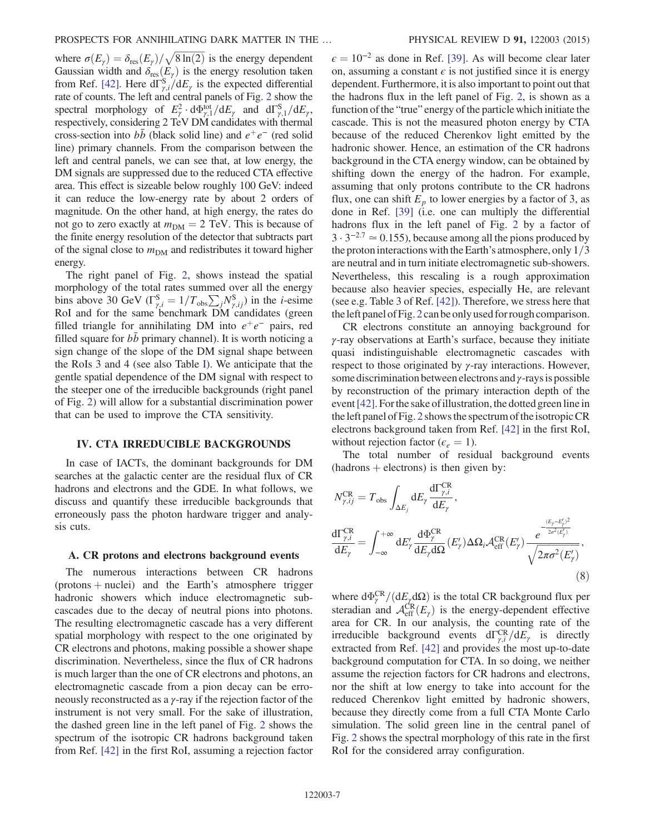where  $\sigma(E_{\gamma}) = \delta_{\text{res}}(E_{\gamma}) / \sqrt{8 \ln(2)}$  is the energy dependent Gaussian width and  $\delta_{\text{res}}(E_{\gamma})$  is the energy resolution taken from Ref. [42]. Here  $d\Gamma_{\gamma,i}^S/dE_{\gamma}$  is the expected differential rate of counts. The left and central panels of Fig. 2 show the spectral morphology of  $E_\gamma^2 \cdot d\Phi_{\gamma,1}^{\text{tot}}/dE_\gamma$  and  $d\Gamma_{\gamma,1}^S/dE_\gamma$ , respectively, considering 2 TeV DM candidates with thermal cross-section into  $b\bar{b}$  (black solid line) and  $e^+e^-$  (red solid line) primary channels. From the comparison between the left and central panels, we can see that, at low energy, the DM signals are suppressed due to the reduced CTA effective area. This effect is sizeable below roughly 100 GeV: indeed it can reduce the low-energy rate by about 2 orders of magnitude. On the other hand, at high energy, the rates do not go to zero exactly at  $m_{DM} = 2$  TeV. This is because of the finite energy resolution of the detector that subtracts part of the signal close to  $m_{DM}$  and redistributes it toward higher energy.

The right panel of Fig. 2, shows instead the spatial morphology of the total rates summed over all the energy bins above 30 GeV ( $\Gamma_{\gamma,i}^{\rm S} = 1/T_{\rm obs} \sum_j N_{\gamma,ij}^{\rm S}$ ) in the *i*-esime RoI and for the same benchmark DM candidates (green filled triangle for annihilating DM into  $e^+e^-$  pairs, red filled square for  $bb$  primary channel). It is worth noticing a sign change of the slope of the DM signal shape between the RoIs 3 and 4 (see also Table I). We anticipate that the gentle spatial dependence of the DM signal with respect to the steeper one of the irreducible backgrounds (right panel of Fig. 2) will allow for a substantial discrimination power that can be used to improve the CTA sensitivity.

#### IV. CTA IRREDUCIBLE BACKGROUNDS

In case of IACTs, the dominant backgrounds for DM searches at the galactic center are the residual flux of CR hadrons and electrons and the GDE. In what follows, we discuss and quantify these irreducible backgrounds that erroneously pass the photon hardware trigger and analysis cuts.

#### A. CR protons and electrons background events

The numerous interactions between CR hadrons  $($ protons  $+$  nuclei) and the Earth's atmosphere trigger hadronic showers which induce electromagnetic subcascades due to the decay of neutral pions into photons. The resulting electromagnetic cascade has a very different spatial morphology with respect to the one originated by CR electrons and photons, making possible a shower shape discrimination. Nevertheless, since the flux of CR hadrons is much larger than the one of CR electrons and photons, an electromagnetic cascade from a pion decay can be erroneously reconstructed as a γ-ray if the rejection factor of the instrument is not very small. For the sake of illustration, the dashed green line in the left panel of Fig. 2 shows the spectrum of the isotropic CR hadrons background taken from Ref. [42] in the first RoI, assuming a rejection factor  $\epsilon = 10^{-2}$  as done in Ref. [39]. As will become clear later on, assuming a constant  $\epsilon$  is not justified since it is energy dependent. Furthermore, it is also important to point out that the hadrons flux in the left panel of Fig. 2, is shown as a function of the "true" energy of the particle which initiate the cascade. This is not the measured photon energy by CTA because of the reduced Cherenkov light emitted by the hadronic shower. Hence, an estimation of the CR hadrons background in the CTA energy window, can be obtained by shifting down the energy of the hadron. For example, assuming that only protons contribute to the CR hadrons flux, one can shift  $E_p$  to lower energies by a factor of 3, as done in Ref. [39] (i.e. one can multiply the differential hadrons flux in the left panel of Fig. 2 by a factor of  $3 \cdot 3^{-2.7} \approx 0.155$ , because among all the pions produced by the proton interactions with the Earth's atmosphere, only  $1/3$ are neutral and in turn initiate electromagnetic sub-showers. Nevertheless, this rescaling is a rough approximation because also heavier species, especially He, are relevant (see e.g. Table 3 of Ref. [42]). Therefore, we stress here that theleft panel of Fig. 2 can be only used for rough comparison.

CR electrons constitute an annoying background for γ-ray observations at Earth's surface, because they initiate quasi indistinguishable electromagnetic cascades with respect to those originated by γ-ray interactions. However, some discrimination between electrons and  $\gamma$ -rays is possible by reconstruction of the primary interaction depth of the event [42]. For the sake of illustration, the dotted green line in the left panel of Fig. 2 shows the spectrum of the isotropic CR electrons background taken from Ref. [42] in the first RoI, without rejection factor ( $\epsilon_e = 1$ ).

The total number of residual background events  $(hadrons + electrons)$  is then given by:

$$
N_{\gamma,ij}^{\text{CR}} = T_{\text{obs}} \int_{\Delta E_j} dE_{\gamma} \frac{d\Gamma_{\gamma,i}^{\text{CR}}}{dE_{\gamma}},
$$
  
\n
$$
\frac{d\Gamma_{\gamma,i}^{\text{CR}}}{dE_{\gamma}} = \int_{-\infty}^{+\infty} dE_{\gamma}^{\prime} \frac{d\Phi_{\gamma}^{\text{CR}}}{dE_{\gamma}d\Omega} (E_{\gamma}^{\prime}) \Delta\Omega_i \mathcal{A}_{\text{eff}}^{\text{CR}} (E_{\gamma}^{\prime}) \frac{e^{-\frac{(E_{\gamma} - E_{\gamma}^{\prime})^2}{2\sigma^2(E_{\gamma}^{\prime})}}}{\sqrt{2\pi\sigma^2(E_{\gamma}^{\prime})}},
$$
\n(8)

where  $d\Phi_{\gamma}^{CR}/(dE_{\gamma}d\Omega)$  is the total CR background flux per steradian and  $\mathcal{A}_{\text{eff}}^{\text{CR}}(E_\gamma)$  is the energy-dependent effective area for CR. In our analysis, the counting rate of the irreducible background events  $d\Gamma_{\gamma,i}^{CR}/dE_{\gamma}$  is directly extracted from Ref. [42] and provides the most up-to-date background computation for CTA. In so doing, we neither assume the rejection factors for CR hadrons and electrons, nor the shift at low energy to take into account for the reduced Cherenkov light emitted by hadronic showers, because they directly come from a full CTA Monte Carlo simulation. The solid green line in the central panel of Fig. 2 shows the spectral morphology of this rate in the first RoI for the considered array configuration.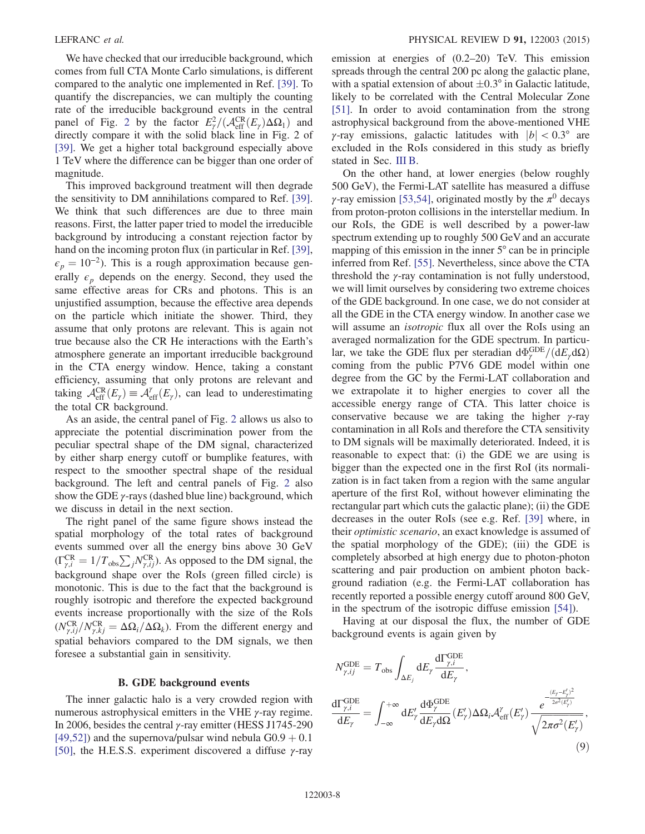We have checked that our irreducible background, which comes from full CTA Monte Carlo simulations, is different compared to the analytic one implemented in Ref. [39]. To quantify the discrepancies, we can multiply the counting rate of the irreducible background events in the central panel of Fig. 2 by the factor  $E_\gamma^2/(\mathcal{A}_{\text{eff}}^{CR}(E_\gamma)\Delta\Omega_1)$  and directly compare it with the solid black line in Fig. 2 of [39]. We get a higher total background especially above 1 TeV where the difference can be bigger than one order of magnitude.

This improved background treatment will then degrade the sensitivity to DM annihilations compared to Ref. [39]. We think that such differences are due to three main reasons. First, the latter paper tried to model the irreducible background by introducing a constant rejection factor by hand on the incoming proton flux (in particular in Ref. [39],  $\epsilon_p = 10^{-2}$ ). This is a rough approximation because generally  $\epsilon_p$  depends on the energy. Second, they used the same effective areas for CRs and photons. This is an unjustified assumption, because the effective area depends on the particle which initiate the shower. Third, they assume that only protons are relevant. This is again not true because also the CR He interactions with the Earth's atmosphere generate an important irreducible background in the CTA energy window. Hence, taking a constant efficiency, assuming that only protons are relevant and taking  $\mathcal{A}_{\text{eff}}^{CR}(E_{\gamma}) \equiv \mathcal{A}_{\text{eff}}^{\gamma}(E_{\gamma})$ , can lead to underestimating the total CR background.

As an aside, the central panel of Fig. 2 allows us also to appreciate the potential discrimination power from the peculiar spectral shape of the DM signal, characterized by either sharp energy cutoff or bumplike features, with respect to the smoother spectral shape of the residual background. The left and central panels of Fig. 2 also show the GDE  $\gamma$ -rays (dashed blue line) background, which we discuss in detail in the next section.

The right panel of the same figure shows instead the spatial morphology of the total rates of background events summed over all the energy bins above 30 GeV  $(\Gamma_{\gamma,i}^{CR} = 1/T_{obs} \sum_j N_{\gamma,ij}^{CR})$ . As opposed to the DM signal, the background shape over the RoIs (green filled circle) is monotonic. This is due to the fact that the background is roughly isotropic and therefore the expected background events increase proportionally with the size of the RoIs  $(N_{\gamma,ij}^{\text{CR}}/N_{\gamma,kj}^{\text{CR}} = \Delta\Omega_i/\Delta\Omega_k$ ). From the different energy and spatial behaviors compared to the DM signals, we then foresee a substantial gain in sensitivity.

#### B. GDE background events

The inner galactic halo is a very crowded region with numerous astrophysical emitters in the VHE γ-ray regime. In 2006, besides the central γ-ray emitter (HESS J1745-290  $[49,52]$ ) and the supernova/pulsar wind nebula  $G(0.9 + 0.1)$ [50], the H.E.S.S. experiment discovered a diffuse  $\gamma$ -ray emission at energies of (0.2–20) TeV. This emission spreads through the central 200 pc along the galactic plane, with a spatial extension of about  $\pm 0.3^{\circ}$  in Galactic latitude, likely to be correlated with the Central Molecular Zone [51]. In order to avoid contamination from the strong astrophysical background from the above-mentioned VHE γ-ray emissions, galactic latitudes with  $|b| < 0.3^\circ$  are excluded in the RoIs considered in this study as briefly stated in Sec. III B.

On the other hand, at lower energies (below roughly 500 GeV), the Fermi-LAT satellite has measured a diffuse γ-ray emission [53,54], originated mostly by the  $\pi^0$  decays from proton-proton collisions in the interstellar medium. In our RoIs, the GDE is well described by a power-law spectrum extending up to roughly 500 GeV and an accurate mapping of this emission in the inner 5° can be in principle inferred from Ref. [55]. Nevertheless, since above the CTA threshold the  $\gamma$ -ray contamination is not fully understood, we will limit ourselves by considering two extreme choices of the GDE background. In one case, we do not consider at all the GDE in the CTA energy window. In another case we will assume an *isotropic* flux all over the RoIs using an averaged normalization for the GDE spectrum. In particular, we take the GDE flux per steradian  $d\Phi_{\gamma}^{\text{GDE}}/(dE_{\gamma}d\Omega)$ coming from the public P7V6 GDE model within one degree from the GC by the Fermi-LAT collaboration and we extrapolate it to higher energies to cover all the accessible energy range of CTA. This latter choice is conservative because we are taking the higher  $\gamma$ -ray contamination in all RoIs and therefore the CTA sensitivity to DM signals will be maximally deteriorated. Indeed, it is reasonable to expect that: (i) the GDE we are using is bigger than the expected one in the first RoI (its normalization is in fact taken from a region with the same angular aperture of the first RoI, without however eliminating the rectangular part which cuts the galactic plane); (ii) the GDE decreases in the outer RoIs (see e.g. Ref. [39] where, in their optimistic scenario, an exact knowledge is assumed of the spatial morphology of the GDE); (iii) the GDE is completely absorbed at high energy due to photon-photon scattering and pair production on ambient photon background radiation (e.g. the Fermi-LAT collaboration has recently reported a possible energy cutoff around 800 GeV, in the spectrum of the isotropic diffuse emission [54]).

Having at our disposal the flux, the number of GDE background events is again given by

$$
N_{\gamma,ij}^{\text{GDE}} = T_{\text{obs}} \int_{\Delta E_j} dE_{\gamma} \frac{d\Gamma_{\gamma,i}^{\text{GDE}}}{dE_{\gamma}},
$$
  

$$
\frac{d\Gamma_{\gamma,i}^{\text{GDE}}}{dE_{\gamma}} = \int_{-\infty}^{+\infty} dE_{\gamma}^{\prime} \frac{d\Phi_{\gamma}^{\text{GDE}}}{dE_{\gamma}d\Omega} (E_{\gamma}^{\prime}) \Delta\Omega_i \mathcal{A}_{\text{eff}}^{\gamma} (E_{\gamma}^{\prime}) \frac{e^{-\frac{(E_{\gamma} - E_{\gamma}^{\prime})^2}{2\sigma^2(E_{\gamma}^{\prime})}}}{\sqrt{2\pi\sigma^2(E_{\gamma}^{\prime})}},
$$
(9)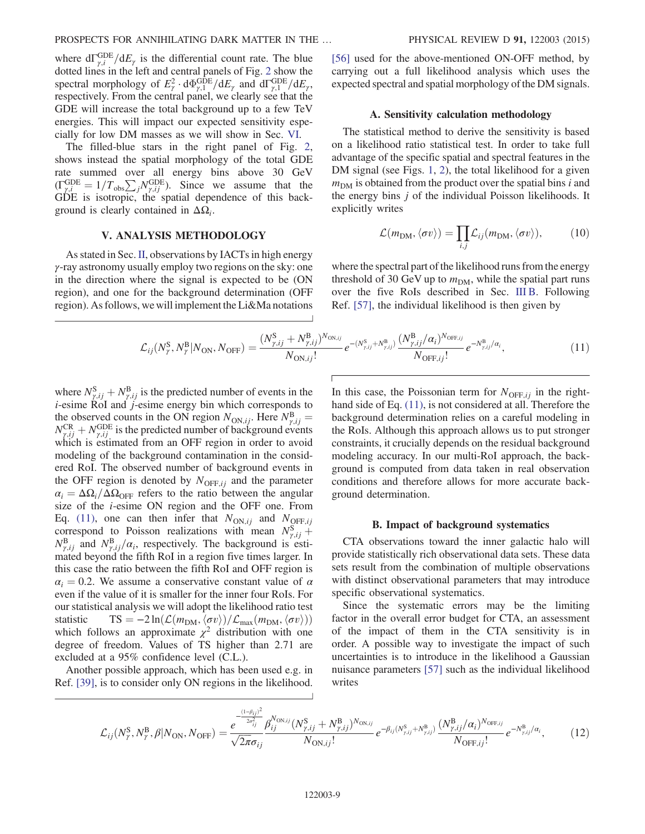where  $d\Gamma_{\gamma,i}^{\text{GDE}}/dE_{\gamma}$  is the differential count rate. The blue dotted lines in the left and central panels of Fig. 2 show the spectral morphology of  $E_\gamma^2 \cdot d\Phi_{\gamma,1}^{\text{GDE}}/dE_\gamma$  and  $d\Gamma_{\gamma,1}^{\text{GDE}}/dE_\gamma$ , respectively. From the central panel, we clearly see that the GDE will increase the total background up to a few TeV energies. This will impact our expected sensitivity especially for low DM masses as we will show in Sec. VI.

The filled-blue stars in the right panel of Fig. 2, shows instead the spatial morphology of the total GDE rate summed over all energy bins above 30 GeV  $(\Gamma_{\gamma,i}^{\text{GDE}} = 1/T_{\text{obs}}\sum_j N_{\gamma,ij}^{\text{GDE}})$ . Since we assume that the GDE is isotropic, the spatial dependence of this background is clearly contained in  $\Delta\Omega_i$ .

#### V. ANALYSIS METHODOLOGY

As stated in Sec. II, observations by IACTs in high energy γ-ray astronomy usually employ two regions on the sky: one in the direction where the signal is expected to be (ON region), and one for the background determination (OFF region). As follows, we will implement the Li&Ma notations [56] used for the above-mentioned ON-OFF method, by carrying out a full likelihood analysis which uses the expected spectral and spatial morphology of the DM signals.

#### A. Sensitivity calculation methodology

The statistical method to derive the sensitivity is based on a likelihood ratio statistical test. In order to take full advantage of the specific spatial and spectral features in the DM signal (see Figs. 1, 2), the total likelihood for a given  $m<sub>DM</sub>$  is obtained from the product over the spatial bins i and the energy bins j of the individual Poisson likelihoods. It explicitly writes

$$
\mathcal{L}(m_{\text{DM}}, \langle \sigma v \rangle) = \prod_{i,j} \mathcal{L}_{ij}(m_{\text{DM}}, \langle \sigma v \rangle), \tag{10}
$$

where the spectral part of the likelihood runs from the energy threshold of 30 GeV up to  $m_{DM}$ , while the spatial part runs over the five RoIs described in Sec. III B. Following Ref. [57], the individual likelihood is then given by

$$
\mathcal{L}_{ij}(N_{\gamma}^{\rm S}, N_{\gamma}^{\rm B}|N_{\rm ON}, N_{\rm OFF}) = \frac{(N_{\gamma,ij}^{\rm S} + N_{\gamma,ij}^{\rm B})^{N_{\rm ON,ij}}}{N_{\rm ON,ij}!} e^{-(N_{\gamma,ij}^{\rm S} + N_{\gamma,ij}^{\rm B})} \frac{(N_{\gamma,ij}^{\rm B}/\alpha_i)^{N_{\rm OFF,ij}}}{N_{\rm OFF,ij}!} e^{-N_{\gamma,ij}^{\rm B}/\alpha_i},\tag{11}
$$

where  $N_{\gamma,ij}^{\rm S} + N_{\gamma,ij}^{\rm B}$  is the predicted number of events in the  $i$ -esime RoI and  $j$ -esime energy bin which corresponds to the observed counts in the ON region  $N_{\text{ON},ij}$ . Here  $N_{\gamma,ij}^{\text{B}} =$  $N_{\gamma,ij}^{\text{CR}} + N_{\gamma,ij}^{\text{GDE}}$  is the predicted number of background events which is estimated from an OFF region in order to avoid modeling of the background contamination in the considered RoI. The observed number of background events in the OFF region is denoted by  $N_{\text{OFF},ii}$  and the parameter  $\alpha_i = \Delta\Omega_i/\Delta\Omega_{\text{OFF}}$  refers to the ratio between the angular size of the i-esime ON region and the OFF one. From Eq. (11), one can then infer that  $N_{ON,ij}$  and  $N_{OFF,ij}$ correspond to Poisson realizations with mean  $N_{\gamma,ij}^{\rm S}$  +  $N_{\gamma,ij}^{\rm B}$  and  $N_{\gamma,ij}^{\rm B}/\alpha_i$ , respectively. The background is estimated beyond the fifth RoI in a region five times larger. In this case the ratio between the fifth RoI and OFF region is  $\alpha_i = 0.2$ . We assume a conservative constant value of  $\alpha$ even if the value of it is smaller for the inner four RoIs. For our statistical analysis we will adopt the likelihood ratio test statistic TS =  $-2 \ln(\mathcal{L}(m_{DM}, \langle \sigma v \rangle) / \mathcal{L}_{max}(m_{DM}, \langle \sigma v \rangle))$ which follows an approximate  $\chi^2$  distribution with one degree of freedom. Values of TS higher than 2.71 are excluded at a 95% confidence level (C.L.).

Another possible approach, which has been used e.g. in Ref. [39], is to consider only ON regions in the likelihood. In this case, the Poissonian term for  $N_{\text{OFF},ij}$  in the righthand side of Eq. (11), is not considered at all. Therefore the background determination relies on a careful modeling in the RoIs. Although this approach allows us to put stronger constraints, it crucially depends on the residual background modeling accuracy. In our multi-RoI approach, the background is computed from data taken in real observation conditions and therefore allows for more accurate background determination.

#### B. Impact of background systematics

CTA observations toward the inner galactic halo will provide statistically rich observational data sets. These data sets result from the combination of multiple observations with distinct observational parameters that may introduce specific observational systematics.

Since the systematic errors may be the limiting factor in the overall error budget for CTA, an assessment of the impact of them in the CTA sensitivity is in order. A possible way to investigate the impact of such uncertainties is to introduce in the likelihood a Gaussian nuisance parameters [57] such as the individual likelihood writes

$$
\mathcal{L}_{ij}(N_{\gamma}^{\rm S}, N_{\gamma}^{\rm B}, \beta|N_{\rm ON}, N_{\rm OFF}) = \frac{e^{-\frac{(1-\beta_{ij})^2}{2\sigma_{ij}^2}} \beta_{ij}^{N_{\rm ON,ij}}(N_{\gamma,ij}^{\rm S} + N_{\gamma,ij}^{\rm B})^{N_{\rm ON,ij}}}{N_{\rm ON,ij}!} e^{-\beta_{ij}(N_{\gamma,ij}^{\rm S} + N_{\gamma,ij}^{\rm B})} \frac{(N_{\gamma,ij}^{\rm B}/\alpha_i)^{N_{\rm OFF,ij}}}{N_{\rm OFF,ij}!} e^{-N_{\gamma,ij}^{\rm B}/\alpha_i},\tag{12}
$$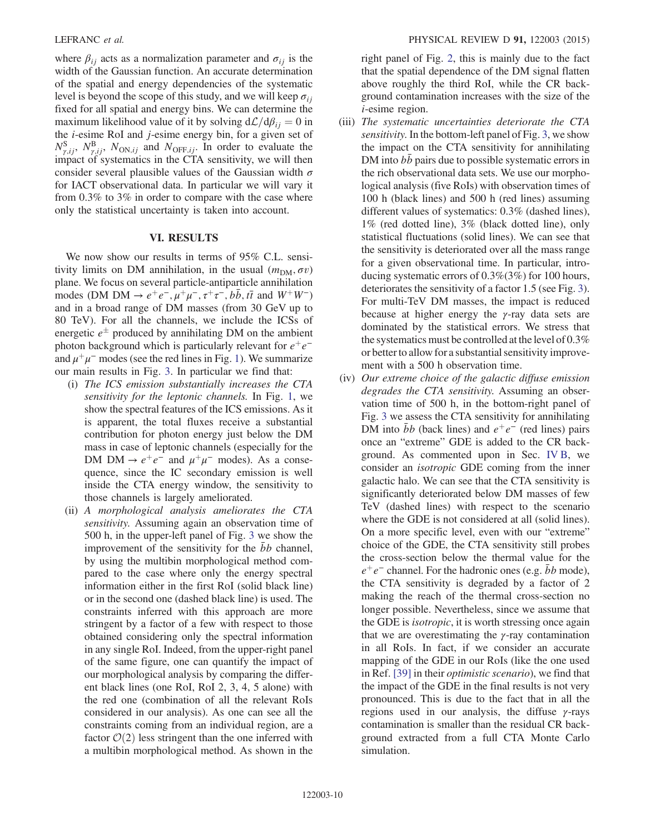where  $\beta_{ij}$  acts as a normalization parameter and  $\sigma_{ij}$  is the width of the Gaussian function. An accurate determination of the spatial and energy dependencies of the systematic level is beyond the scope of this study, and we will keep  $\sigma_{ii}$ fixed for all spatial and energy bins. We can determine the maximum likelihood value of it by solving  $d\mathcal{L}/d\beta_{ij} = 0$  in the i-esime RoI and j-esime energy bin, for a given set of  $N_{\gamma,ij}^{\rm S}$ ,  $N_{\gamma,ij}^{\rm B}$ ,  $N_{\rm ON,ij}$  and  $N_{\rm OFF,ij}$ . In order to evaluate the impact of systematics in the CTA sensitivity, we will then consider several plausible values of the Gaussian width  $\sigma$ for IACT observational data. In particular we will vary it from 0.3% to 3% in order to compare with the case where only the statistical uncertainty is taken into account.

#### VI. RESULTS

We now show our results in terms of 95% C.L. sensitivity limits on DM annihilation, in the usual  $(m<sub>DM</sub>, \sigma v)$ plane. We focus on several particle-antiparticle annihilation modes (DM DM  $\rightarrow e^+e^-, \mu^+\mu^-, \tau^+\tau^-, b\bar{b}, t\bar{t}$  and  $W^+W^-$ ) and in a broad range of DM masses (from 30 GeV up to 80 TeV). For all the channels, we include the ICSs of energetic  $e^{\pm}$  produced by annihilating DM on the ambient photon background which is particularly relevant for  $e^+e^$ and  $\mu^+\mu^-$  modes (see the red lines in Fig. 1). We summarize our main results in Fig. 3. In particular we find that:

- (i) The ICS emission substantially increases the CTA sensitivity for the leptonic channels. In Fig. 1, we show the spectral features of the ICS emissions. As it is apparent, the total fluxes receive a substantial contribution for photon energy just below the DM mass in case of leptonic channels (especially for the DM DM  $\rightarrow e^+e^-$  and  $\mu^+\mu^-$  modes). As a consequence, since the IC secondary emission is well inside the CTA energy window, the sensitivity to those channels is largely ameliorated.
- (ii) A morphological analysis ameliorates the CTA sensitivity. Assuming again an observation time of 500 h, in the upper-left panel of Fig. 3 we show the improvement of the sensitivity for the bb channel, by using the multibin morphological method compared to the case where only the energy spectral information either in the first RoI (solid black line) or in the second one (dashed black line) is used. The constraints inferred with this approach are more stringent by a factor of a few with respect to those obtained considering only the spectral information in any single RoI. Indeed, from the upper-right panel of the same figure, one can quantify the impact of our morphological analysis by comparing the different black lines (one RoI, RoI 2, 3, 4, 5 alone) with the red one (combination of all the relevant RoIs considered in our analysis). As one can see all the constraints coming from an individual region, are a factor  $\mathcal{O}(2)$  less stringent than the one inferred with a multibin morphological method. As shown in the

right panel of Fig. 2, this is mainly due to the fact that the spatial dependence of the DM signal flatten above roughly the third RoI, while the CR background contamination increases with the size of the i-esime region.

- (iii) The systematic uncertainties deteriorate the CTA sensitivity. In the bottom-left panel of Fig. 3, we show the impact on the CTA sensitivity for annihilating DM into *bb* pairs due to possible systematic errors in the rich observational data sets. We use our morphological analysis (five RoIs) with observation times of 100 h (black lines) and 500 h (red lines) assuming different values of systematics: 0.3% (dashed lines), 1% (red dotted line), 3% (black dotted line), only statistical fluctuations (solid lines). We can see that the sensitivity is deteriorated over all the mass range for a given observational time. In particular, introducing systematic errors of 0.3%(3%) for 100 hours, deteriorates the sensitivity of a factor 1.5 (see Fig. 3). For multi-TeV DM masses, the impact is reduced because at higher energy the  $\gamma$ -ray data sets are dominated by the statistical errors. We stress that the systematics must be controlled at the level of 0.3% or better to allow for a substantial sensitivity improvement with a 500 h observation time.
- (iv) Our extreme choice of the galactic diffuse emission degrades the CTA sensitivity. Assuming an observation time of 500 h, in the bottom-right panel of Fig. 3 we assess the CTA sensitivity for annihilating DM into  $\bar{b}b$  (back lines) and  $e^+e^-$  (red lines) pairs once an "extreme" GDE is added to the CR background. As commented upon in Sec. IV B, we consider an isotropic GDE coming from the inner galactic halo. We can see that the CTA sensitivity is significantly deteriorated below DM masses of few TeV (dashed lines) with respect to the scenario where the GDE is not considered at all (solid lines). On a more specific level, even with our "extreme" choice of the GDE, the CTA sensitivity still probes the cross-section below the thermal value for the  $e^+e^-$  channel. For the hadronic ones (e.g. bb mode), the CTA sensitivity is degraded by a factor of 2 making the reach of the thermal cross-section no longer possible. Nevertheless, since we assume that the GDE is isotropic, it is worth stressing once again that we are overestimating the  $γ$ -ray contamination in all RoIs. In fact, if we consider an accurate mapping of the GDE in our RoIs (like the one used in Ref. [39] in their optimistic scenario), we find that the impact of the GDE in the final results is not very pronounced. This is due to the fact that in all the regions used in our analysis, the diffuse  $\gamma$ -rays contamination is smaller than the residual CR background extracted from a full CTA Monte Carlo simulation.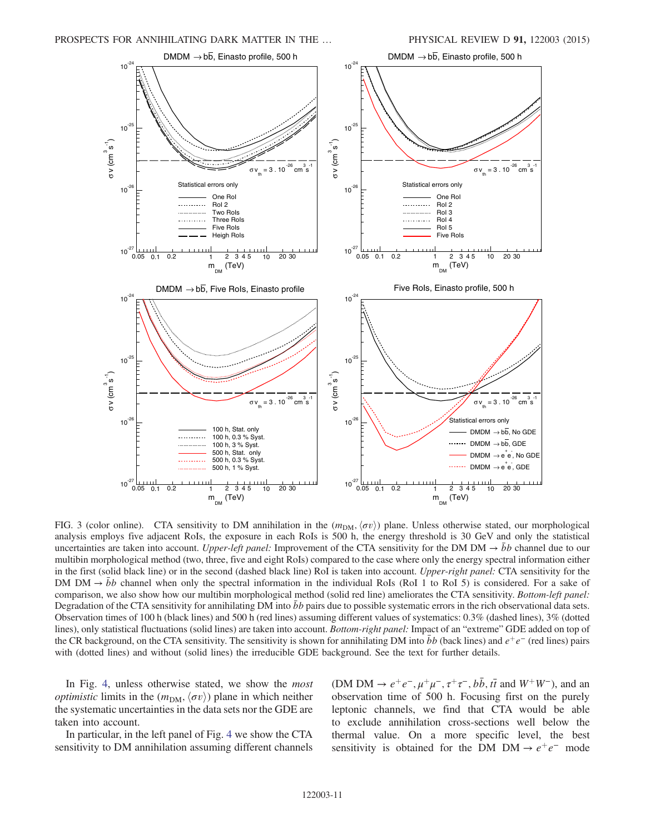

FIG. 3 (color online). CTA sensitivity to DM annihilation in the  $(m<sub>DM</sub>, \langle \sigma v \rangle)$  plane. Unless otherwise stated, our morphological analysis employs five adjacent RoIs, the exposure in each RoIs is 500 h, the energy threshold is 30 GeV and only the statistical uncertainties are taken into account. Upper-left panel: Improvement of the CTA sensitivity for the DM DM  $\rightarrow$  bb channel due to our multibin morphological method (two, three, five and eight RoIs) compared to the case where only the energy spectral information either in the first (solid black line) or in the second (dashed black line) RoI is taken into account. Upper-right panel: CTA sensitivity for the DM DM  $\rightarrow$  bb channel when only the spectral information in the individual RoIs (RoI 1 to RoI 5) is considered. For a sake of comparison, we also show how our multibin morphological method (solid red line) ameliorates the CTA sensitivity. Bottom-left panel: Degradation of the CTA sensitivity for annihilating DM into  $\bar{b}b$  pairs due to possible systematic errors in the rich observational data sets. Observation times of 100 h (black lines) and 500 h (red lines) assuming different values of systematics: 0.3% (dashed lines), 3% (dotted lines), only statistical fluctuations (solid lines) are taken into account. Bottom-right panel: Impact of an "extreme" GDE added on top of the CR background, on the CTA sensitivity. The sensitivity is shown for annihilating DM into  $\bar{b}b$  (back lines) and  $e^+e^-$  (red lines) pairs with (dotted lines) and without (solid lines) the irreducible GDE background. See the text for further details.

In Fig. 4, unless otherwise stated, we show the most *optimistic* limits in the  $(m<sub>DM</sub>, \langle \sigma v \rangle)$  plane in which neither the systematic uncertainties in the data sets nor the GDE are taken into account.

In particular, in the left panel of Fig. 4 we show the CTA sensitivity to DM annihilation assuming different channels (DM DM  $\rightarrow e^+e^-, \mu^+\mu^-, \tau^+\tau^-, b\bar{b}, t\bar{t}$  and  $W^+W^-$ ), and an observation time of 500 h. Focusing first on the purely leptonic channels, we find that CTA would be able to exclude annihilation cross-sections well below the thermal value. On a more specific level, the best sensitivity is obtained for the DM DM  $\rightarrow e^+e^-$  mode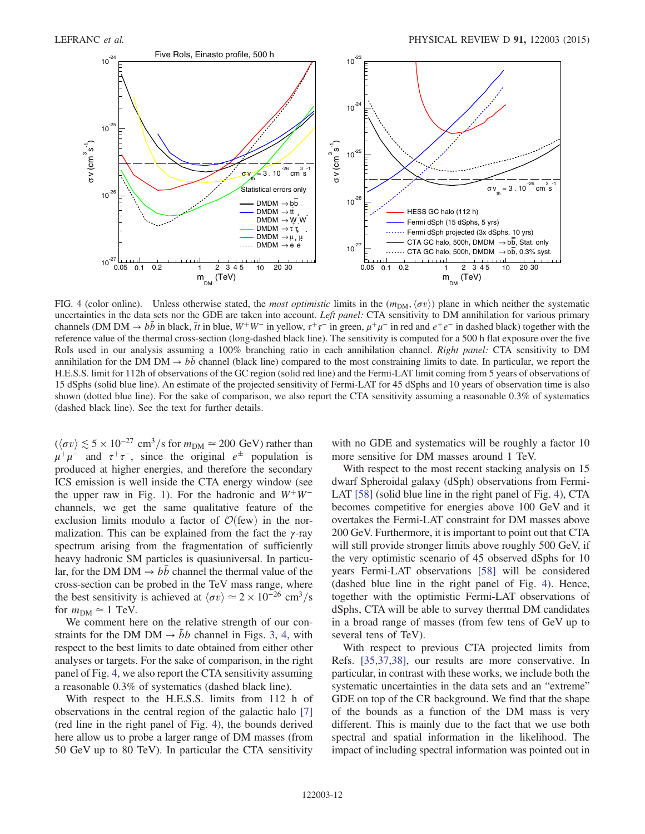

FIG. 4 (color online). Unless otherwise stated, the *most optimistic* limits in the  $(m_{DM}, \langle \sigma v \rangle)$  plane in which neither the systematic uncertainties in the data sets nor the GDE are taken into account. Left panel: CTA sensitivity to DM annihilation for various primary channels (DM DM  $\rightarrow b\bar{b}$  in black,  $\bar{t}t$  in blue,  $W^+W^-$  in yellow,  $\tau^+\tau^-$  in green,  $\mu^+\mu^-$  in red and  $e^+e^-$  in dashed black) together with the reference value of the thermal cross-section (long-dashed black line). The sensitivity is computed for a 500 h flat exposure over the five RoIs used in our analysis assuming a 100% branching ratio in each annihilation channel. Right panel: CTA sensitivity to DM annihilation for the DM DM  $\rightarrow$  bb channel (black line) compared to the most constraining limits to date. In particular, we report the H.E.S.S. limit for 112h of observations of the GC region (solid red line) and the Fermi-LAT limit coming from 5 years of observations of 15 dSphs (solid blue line). An estimate of the projected sensitivity of Fermi-LAT for 45 dSphs and 10 years of observation time is also shown (dotted blue line). For the sake of comparison, we also report the CTA sensitivity assuming a reasonable 0.3% of systematics (dashed black line). See the text for further details.

 $(\langle \sigma v \rangle \lesssim 5 \times 10^{-27} \text{ cm}^3/\text{s} \text{ for } m_{DM} \simeq 200 \text{ GeV})$  rather than  $\mu^+\mu^-$  and  $\tau^+\tau^-$ , since the original  $e^{\pm}$  population is produced at higher energies, and therefore the secondary ICS emission is well inside the CTA energy window (see the upper raw in Fig. 1). For the hadronic and  $W^+W^$ channels, we get the same qualitative feature of the exclusion limits modulo a factor of  $\mathcal{O}(\text{few})$  in the normalization. This can be explained from the fact the  $\gamma$ -ray spectrum arising from the fragmentation of sufficiently heavy hadronic SM particles is quasiuniversal. In particular, for the DM DM  $\rightarrow bb$  channel the thermal value of the cross-section can be probed in the TeV mass range, where the best sensitivity is achieved at  $\langle \sigma v \rangle \simeq 2 \times 10^{-26}$  cm<sup>3</sup>/s for  $m_{\text{DM}} \simeq 1$  TeV.

We comment here on the relative strength of our constraints for the DM DM  $\rightarrow bb$  channel in Figs. 3, 4, with respect to the best limits to date obtained from either other analyses or targets. For the sake of comparison, in the right panel of Fig. 4, we also report the CTA sensitivity assuming a reasonable 0.3% of systematics (dashed black line).

With respect to the H.E.S.S. limits from 112 h of observations in the central region of the galactic halo [7] (red line in the right panel of Fig. 4), the bounds derived here allow us to probe a larger range of DM masses (from 50 GeV up to 80 TeV). In particular the CTA sensitivity with no GDE and systematics will be roughly a factor 10 more sensitive for DM masses around 1 TeV.

With respect to the most recent stacking analysis on 15 dwarf Spheroidal galaxy (dSph) observations from Fermi-LAT [58] (solid blue line in the right panel of Fig. 4), CTA becomes competitive for energies above 100 GeV and it overtakes the Fermi-LAT constraint for DM masses above 200 GeV. Furthermore, it is important to point out that CTA will still provide stronger limits above roughly 500 GeV, if the very optimistic scenario of 45 observed dSphs for 10 years Fermi-LAT observations [58] will be considered (dashed blue line in the right panel of Fig. 4). Hence, together with the optimistic Fermi-LAT observations of dSphs, CTA will be able to survey thermal DM candidates in a broad range of masses (from few tens of GeV up to several tens of TeV).

With respect to previous CTA projected limits from Refs. [35,37,38], our results are more conservative. In particular, in contrast with these works, we include both the systematic uncertainties in the data sets and an "extreme" GDE on top of the CR background. We find that the shape of the bounds as a function of the DM mass is very different. This is mainly due to the fact that we use both spectral and spatial information in the likelihood. The impact of including spectral information was pointed out in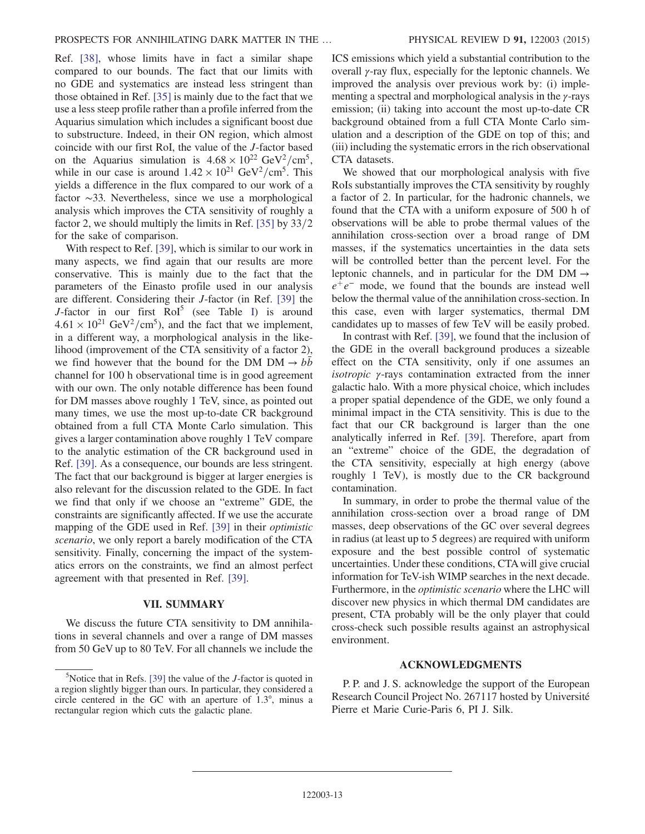Ref. [38], whose limits have in fact a similar shape compared to our bounds. The fact that our limits with no GDE and systematics are instead less stringent than those obtained in Ref. [35] is mainly due to the fact that we use a less steep profile rather than a profile inferred from the Aquarius simulation which includes a significant boost due to substructure. Indeed, in their ON region, which almost coincide with our first RoI, the value of the J-factor based on the Aquarius simulation is  $4.68 \times 10^{22}$  GeV<sup>2</sup>/cm<sup>5</sup>, while in our case is around  $1.42 \times 10^{21}$  GeV<sup>2</sup>/cm<sup>5</sup>. This yields a difference in the flux compared to our work of a factor ∼33. Nevertheless, since we use a morphological analysis which improves the CTA sensitivity of roughly a factor 2, we should multiply the limits in Ref.  $[35]$  by  $33/2$ for the sake of comparison.

With respect to Ref. [39], which is similar to our work in many aspects, we find again that our results are more conservative. This is mainly due to the fact that the parameters of the Einasto profile used in our analysis are different. Considering their J-factor (in Ref. [39] the J-factor in our first  $RoI^5$  (see Table I) is around  $4.61 \times 10^{21}$  GeV<sup>2</sup>/cm<sup>5</sup>), and the fact that we implement, in a different way, a morphological analysis in the likelihood (improvement of the CTA sensitivity of a factor 2), we find however that the bound for the DM DM  $\rightarrow bb$ channel for 100 h observational time is in good agreement with our own. The only notable difference has been found for DM masses above roughly 1 TeV, since, as pointed out many times, we use the most up-to-date CR background obtained from a full CTA Monte Carlo simulation. This gives a larger contamination above roughly 1 TeV compare to the analytic estimation of the CR background used in Ref. [39]. As a consequence, our bounds are less stringent. The fact that our background is bigger at larger energies is also relevant for the discussion related to the GDE. In fact we find that only if we choose an "extreme" GDE, the constraints are significantly affected. If we use the accurate mapping of the GDE used in Ref. [39] in their optimistic scenario, we only report a barely modification of the CTA sensitivity. Finally, concerning the impact of the systematics errors on the constraints, we find an almost perfect agreement with that presented in Ref. [39].

#### VII. SUMMARY

We discuss the future CTA sensitivity to DM annihilations in several channels and over a range of DM masses from 50 GeV up to 80 TeV. For all channels we include the ICS emissions which yield a substantial contribution to the overall γ-ray flux, especially for the leptonic channels. We improved the analysis over previous work by: (i) implementing a spectral and morphological analysis in the γ-rays emission; (ii) taking into account the most up-to-date CR background obtained from a full CTA Monte Carlo simulation and a description of the GDE on top of this; and (iii) including the systematic errors in the rich observational CTA datasets.

We showed that our morphological analysis with five RoIs substantially improves the CTA sensitivity by roughly a factor of 2. In particular, for the hadronic channels, we found that the CTA with a uniform exposure of 500 h of observations will be able to probe thermal values of the annihilation cross-section over a broad range of DM masses, if the systematics uncertainties in the data sets will be controlled better than the percent level. For the leptonic channels, and in particular for the DM DM  $\rightarrow$  $e^+e^-$  mode, we found that the bounds are instead well below the thermal value of the annihilation cross-section. In this case, even with larger systematics, thermal DM candidates up to masses of few TeV will be easily probed.

In contrast with Ref. [39], we found that the inclusion of the GDE in the overall background produces a sizeable effect on the CTA sensitivity, only if one assumes an isotropic γ-rays contamination extracted from the inner galactic halo. With a more physical choice, which includes a proper spatial dependence of the GDE, we only found a minimal impact in the CTA sensitivity. This is due to the fact that our CR background is larger than the one analytically inferred in Ref. [39]. Therefore, apart from an "extreme" choice of the GDE, the degradation of the CTA sensitivity, especially at high energy (above roughly 1 TeV), is mostly due to the CR background contamination.

In summary, in order to probe the thermal value of the annihilation cross-section over a broad range of DM masses, deep observations of the GC over several degrees in radius (at least up to 5 degrees) are required with uniform exposure and the best possible control of systematic uncertainties. Under these conditions, CTA will give crucial information for TeV-ish WIMP searches in the next decade. Furthermore, in the optimistic scenario where the LHC will discover new physics in which thermal DM candidates are present, CTA probably will be the only player that could cross-check such possible results against an astrophysical environment.

#### ACKNOWLEDGMENTS

P. P. and J. S. acknowledge the support of the European Research Council Project No. 267117 hosted by Université Pierre et Marie Curie-Paris 6, PI J. Silk.

 $5$ Notice that in Refs. [39] the value of the *J*-factor is quoted in a region slightly bigger than ours. In particular, they considered a circle centered in the GC with an aperture of 1.3°, minus a rectangular region which cuts the galactic plane.